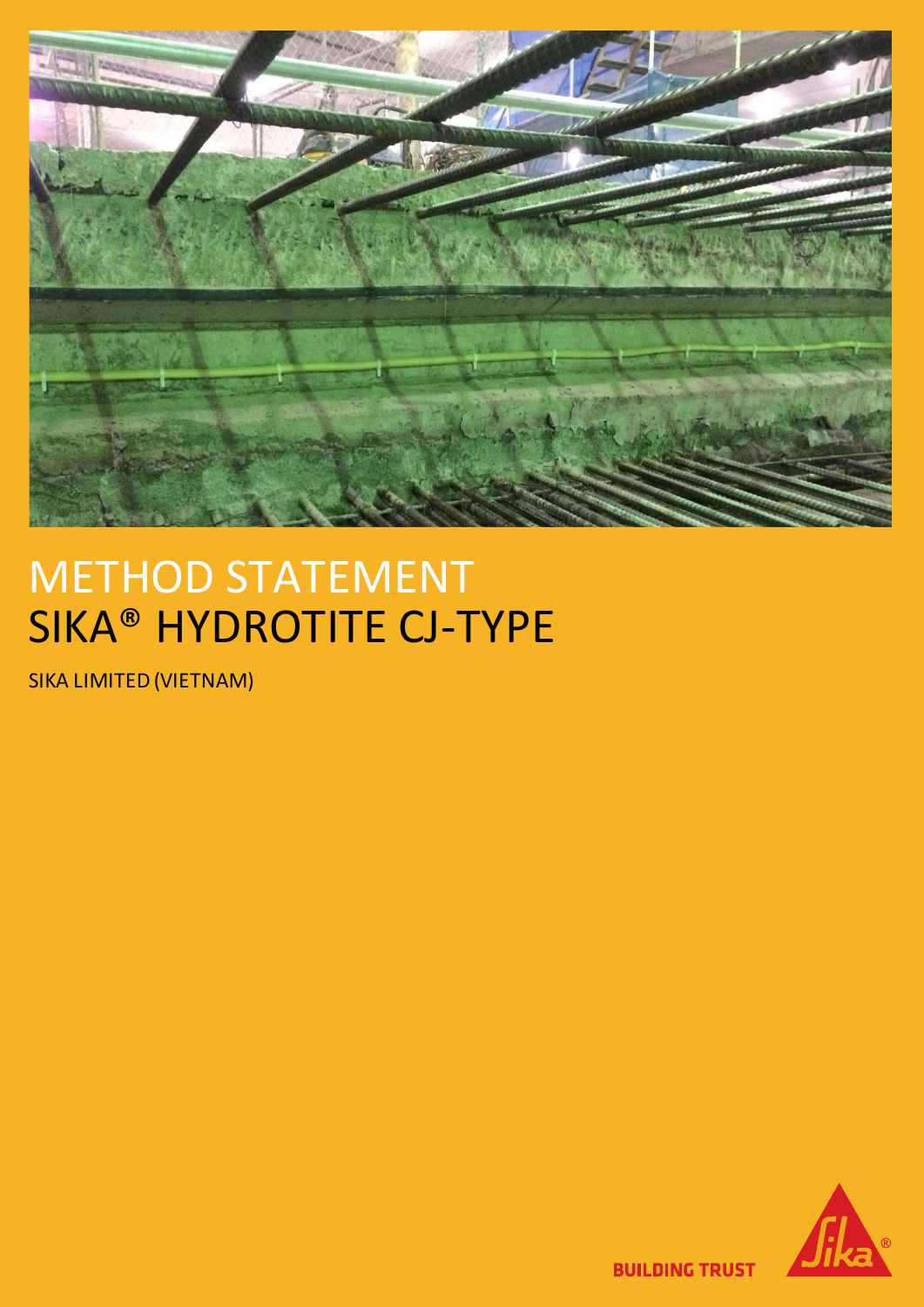

# METHOD STATEMENT SIKA® HYDROTITE CJ-TYPE

SIKA LIMITED (VIETNAM)



**BUILDING TRUST**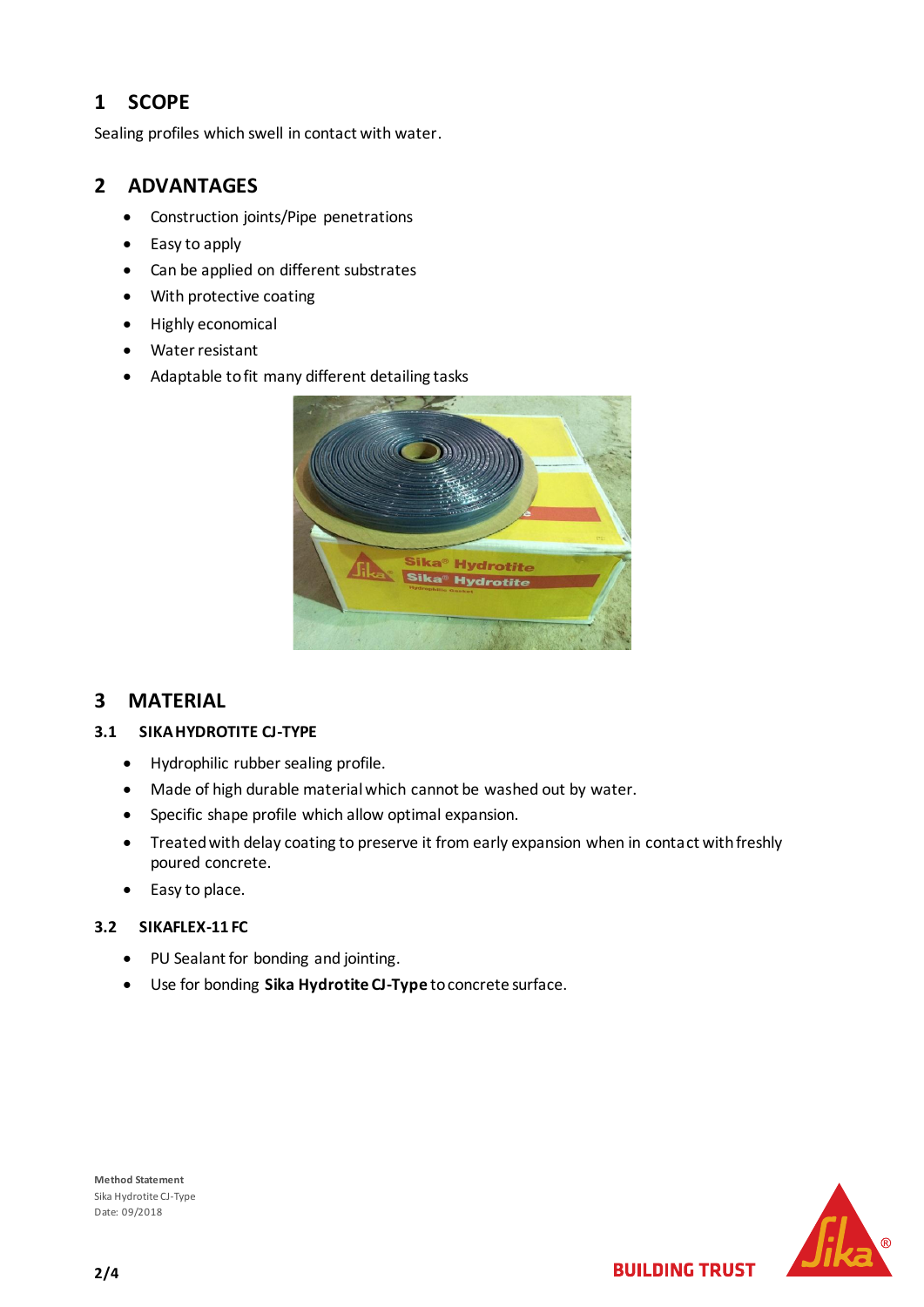## **1 SCOPE**

Sealing profiles which swell in contact with water.

## **2 ADVANTAGES**

- Construction joints/Pipe penetrations
- Easy to apply
- Can be applied on different substrates
- With protective coating
- Highly economical
- Water resistant
- Adaptable to fit many different detailing tasks

|                                                | œ |
|------------------------------------------------|---|
| Sika <sup>®</sup> Hydrotite<br>Sika® Hydrotite |   |
|                                                |   |

## **3 MATERIAL**

#### **3.1 SIKA HYDROTITE CJ-TYPE**

- Hydrophilic rubber sealing profile.
- Made of high durable material which cannot be washed out by water.
- Specific shape profile which allow optimal expansion.
- Treated with delay coating to preserve it from early expansion when in contact with freshly poured concrete.
- Easy to place.

### **3.2 SIKAFLEX-11 FC**

- PU Sealant for bonding and jointing.
- Use for bonding **Sika Hydrotite CJ-Type** to concrete surface.



**BUILDING TRUST** 

**Method Statement** Sika Hydrotite CJ-Type Date: 09/2018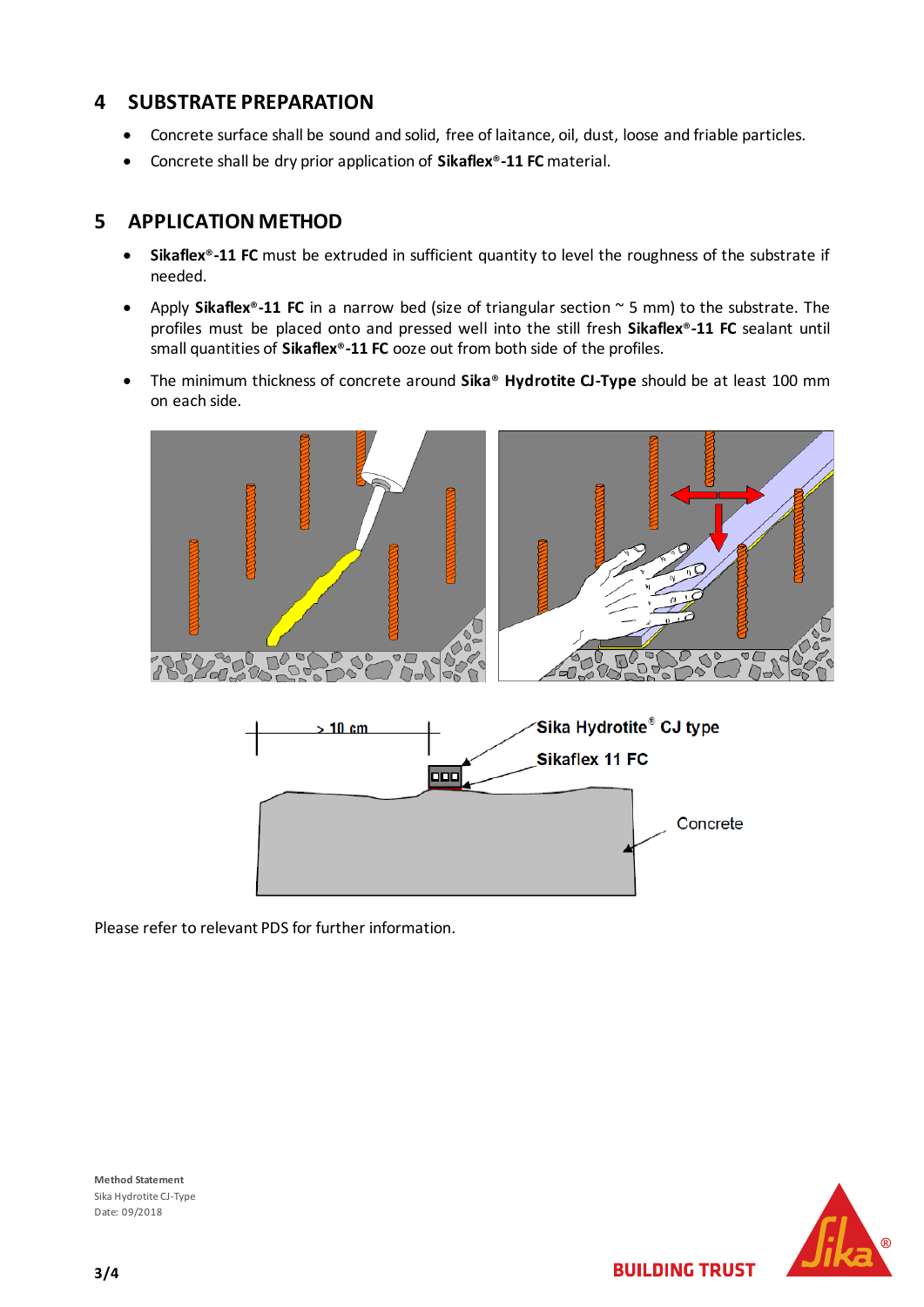## **4 SUBSTRATE PREPARATION**

- Concrete surface shall be sound and solid, free of laitance, oil, dust, loose and friable particles.
- Concrete shall be dry prior application of **Sikaflex**®**-11 FC** material.

## **5 APPLICATION METHOD**

- **Sikaflex**®**-11 FC** must be extruded in sufficient quantity to level the roughness of the substrate if needed.
- Apply **Sikaflex**®**-11 FC** in a narrow bed (size of triangular section ~ 5 mm) to the substrate. The profiles must be placed onto and pressed well into the still fresh **Sikaflex**®**-11 FC** sealant until small quantities of **Sikaflex**®**-11 FC** ooze out from both side of the profiles.
- The minimum thickness of concrete around **Sika**® **Hydrotite CJ-Type** should be at least 100 mm on each side.



Please refer to relevant PDS for further information.